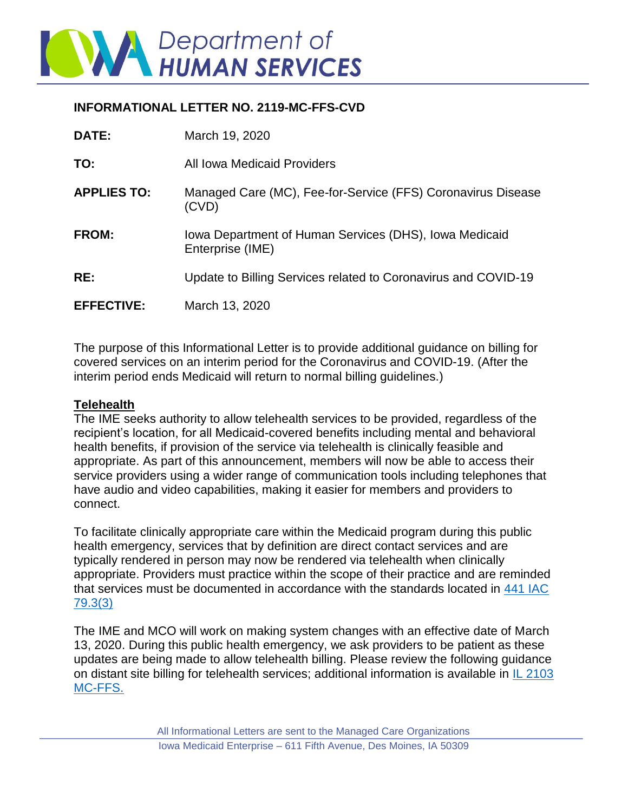

## **INFORMATIONAL LETTER NO. 2119-MC-FFS-CVD**

| <b>DATE:</b>       | March 19, 2020                                                             |
|--------------------|----------------------------------------------------------------------------|
| TO:                | All Iowa Medicaid Providers                                                |
| <b>APPLIES TO:</b> | Managed Care (MC), Fee-for-Service (FFS) Coronavirus Disease<br>(CVD)      |
| <b>FROM:</b>       | Iowa Department of Human Services (DHS), Iowa Medicaid<br>Enterprise (IME) |
| RE:                | Update to Billing Services related to Coronavirus and COVID-19             |
| <b>EFFECTIVE:</b>  | March 13, 2020                                                             |

The purpose of this Informational Letter is to provide additional guidance on billing for covered services on an interim period for the Coronavirus and COVID-19. (After the interim period ends Medicaid will return to normal billing guidelines.)

## **Telehealth**

The IME seeks authority to allow telehealth services to be provided, regardless of the recipient's location, for all Medicaid-covered benefits including mental and behavioral health benefits, if provision of the service via telehealth is clinically feasible and appropriate. As part of this announcement, members will now be able to access their service providers using a wider range of communication tools including telephones that have audio and video capabilities, making it easier for members and providers to connect.

To facilitate clinically appropriate care within the Medicaid program during this public health emergency, services that by definition are direct contact services and are typically rendered in person may now be rendered via telehealth when clinically appropriate. Providers must practice within the scope of their practice and are reminded that services must be documented in accordance with the standards located in [441 IAC](https://www.legis.iowa.gov/docs/iac/rule/11-06-2019.441.79.3.pdf)  [79.3\(3\)](https://www.legis.iowa.gov/docs/iac/rule/11-06-2019.441.79.3.pdf)

The IME and MCO will work on making system changes with an effective date of March 13, 2020. During this public health emergency, we ask providers to be patient as these updates are being made to allow telehealth billing. Please review the following guidance on distant site billing for telehealth services; additional information is available in [IL 2103](https://dhs.iowa.gov/sites/default/files/2103-MC-FFS_Update_Originating_and_Distant_Sites_for_Telehealth_1.pdf?031320202140)  [MC-FFS.](https://dhs.iowa.gov/sites/default/files/2103-MC-FFS_Update_Originating_and_Distant_Sites_for_Telehealth_1.pdf?031320202140)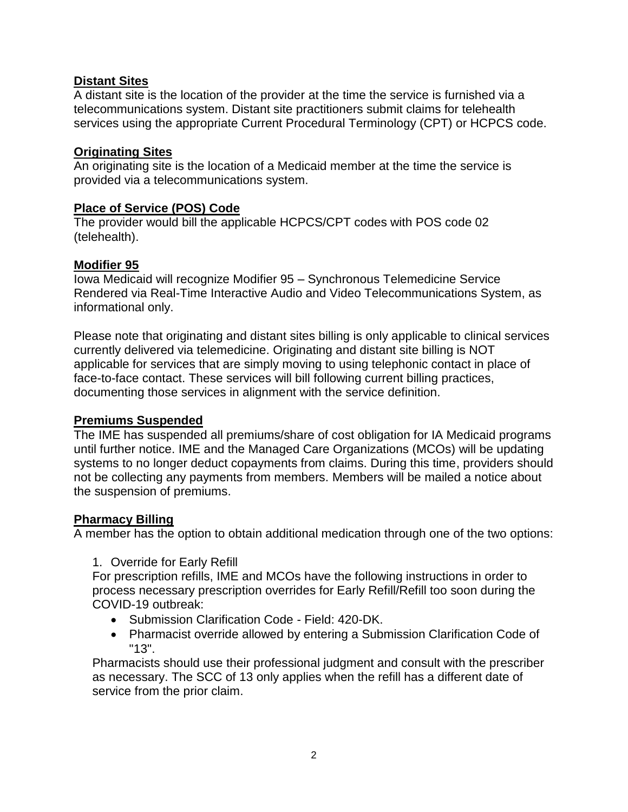# **Distant Sites**

A distant site is the location of the provider at the time the service is furnished via a telecommunications system. Distant site practitioners submit claims for telehealth services using the appropriate Current Procedural Terminology (CPT) or HCPCS code.

## **Originating Sites**

An originating site is the location of a Medicaid member at the time the service is provided via a telecommunications system.

#### **Place of Service (POS) Code**

The provider would bill the applicable HCPCS/CPT codes with POS code 02 (telehealth).

# **Modifier 95**

Iowa Medicaid will recognize Modifier 95 – Synchronous Telemedicine Service Rendered via Real-Time Interactive Audio and Video Telecommunications System, as informational only.

Please note that originating and distant sites billing is only applicable to clinical services currently delivered via telemedicine. Originating and distant site billing is NOT applicable for services that are simply moving to using telephonic contact in place of face-to-face contact. These services will bill following current billing practices, documenting those services in alignment with the service definition.

#### **Premiums Suspended**

The IME has suspended all premiums/share of cost obligation for IA Medicaid programs until further notice. IME and the Managed Care Organizations (MCOs) will be updating systems to no longer deduct copayments from claims. During this time, providers should not be collecting any payments from members. Members will be mailed a notice about the suspension of premiums.

# **Pharmacy Billing**

A member has the option to obtain additional medication through one of the two options:

1. Override for Early Refill

For prescription refills, IME and MCOs have the following instructions in order to process necessary prescription overrides for Early Refill/Refill too soon during the COVID-19 outbreak:

- Submission Clarification Code Field: 420-DK.
- Pharmacist override allowed by entering a Submission Clarification Code of "13".

Pharmacists should use their professional judgment and consult with the prescriber as necessary. The SCC of 13 only applies when the refill has a different date of service from the prior claim.